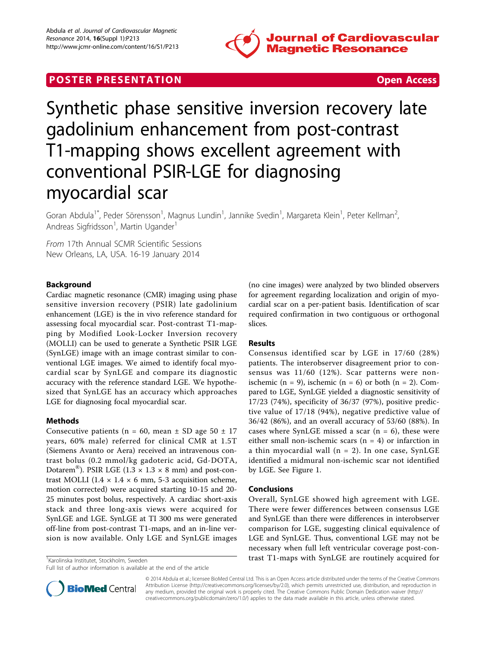

## **POSTER PRESENTATION CONSUMING THE SERVICE SERVICE SERVICES**



# Synthetic phase sensitive inversion recovery late gadolinium enhancement from post-contrast T1-mapping shows excellent agreement with conventional PSIR-LGE for diagnosing myocardial scar

Goran Abdula<sup>1\*</sup>, Peder Sörensson<sup>1</sup>, Magnus Lundin<sup>1</sup>, Jannike Svedin<sup>1</sup>, Margareta Klein<sup>1</sup>, Peter Kellman<sup>2</sup> , Andreas Sigfridsson<sup>1</sup>, Martin Ugander<sup>1</sup>

From 17th Annual SCMR Scientific Sessions New Orleans, LA, USA. 16-19 January 2014

## Background

Cardiac magnetic resonance (CMR) imaging using phase sensitive inversion recovery (PSIR) late gadolinium enhancement (LGE) is the in vivo reference standard for assessing focal myocardial scar. Post-contrast T1-mapping by Modified Look-Locker Inversion recovery (MOLLI) can be used to generate a Synthetic PSIR LGE (SynLGE) image with an image contrast similar to conventional LGE images. We aimed to identify focal myocardial scar by SynLGE and compare its diagnostic accuracy with the reference standard LGE. We hypothesized that SynLGE has an accuracy which approaches LGE for diagnosing focal myocardial scar.

### Methods

Consecutive patients ( $n = 60$ , mean  $\pm$  SD age 50  $\pm$  17 years, 60% male) referred for clinical CMR at 1.5T (Siemens Avanto or Aera) received an intravenous contrast bolus (0.2 mmol/kg gadoteric acid, Gd-DOTA, Dotarem<sup>®</sup>). PSIR LGE (1.3  $\times$  1.3  $\times$  8 mm) and post-contrast MOLLI (1.4  $\times$  1.4  $\times$  6 mm, 5-3 acquisition scheme, motion corrected) were acquired starting 10-15 and 20- 25 minutes post bolus, respectively. A cardiac short-axis stack and three long-axis views were acquired for SynLGE and LGE. SynLGE at TI 300 ms were generated off-line from post-contrast T1-maps, and an in-line version is now available. Only LGE and SynLGE images

(no cine images) were analyzed by two blinded observers for agreement regarding localization and origin of myocardial scar on a per-patient basis. Identification of scar required confirmation in two contiguous or orthogonal slices.

#### Results

Consensus identified scar by LGE in 17/60 (28%) patients. The interobserver disagreement prior to consensus was 11/60 (12%). Scar patterns were nonischemic (n = 9), ischemic (n = 6) or both (n = 2). Compared to LGE, SynLGE yielded a diagnostic sensitivity of 17/23 (74%), specificity of 36/37 (97%), positive predictive value of 17/18 (94%), negative predictive value of 36/42 (86%), and an overall accuracy of 53/60 (88%). In cases where SynLGE missed a scar  $(n = 6)$ , these were either small non-ischemic scars ( $n = 4$ ) or infarction in a thin myocardial wall  $(n = 2)$ . In one case, SynLGE identified a midmural non-ischemic scar not identified by LGE. See Figure [1.](#page-1-0)

#### Conclusions

Overall, SynLGE showed high agreement with LGE. There were fewer differences between consensus LGE and SynLGE than there were differences in interobserver comparison for LGE, suggesting clinical equivalence of LGE and SynLGE. Thus, conventional LGE may not be necessary when full left ventricular coverage post-con- $\frac{1}{1}$ Karolinska Institutet, Stockholm, Sweden **Example 2018 Example 11 trast T1-maps with SynLGE are routinely acquired for** 



© 2014 Abdula et al.; licensee BioMed Central Ltd. This is an Open Access article distributed under the terms of the Creative Commons Attribution License [\(http://creativecommons.org/licenses/by/2.0](http://creativecommons.org/licenses/by/2.0)), which permits unrestricted use, distribution, and reproduction in any medium, provided the original work is properly cited. The Creative Commons Public Domain Dedication waiver [\(http://](http://creativecommons.org/publicdomain/zero/1.0/) [creativecommons.org/publicdomain/zero/1.0/](http://creativecommons.org/publicdomain/zero/1.0/)) applies to the data made available in this article, unless otherwise stated.

Full list of author information is available at the end of the article